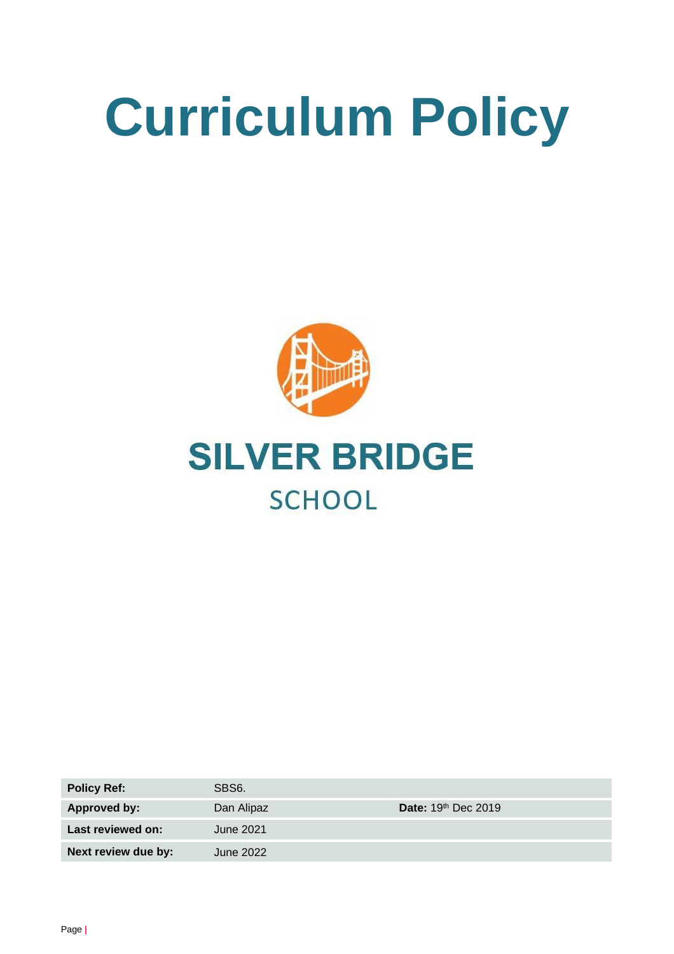# **Curriculum Policy**





| <b>Policy Ref:</b>  | SBS <sub>6</sub> . |                                 |
|---------------------|--------------------|---------------------------------|
| <b>Approved by:</b> | Dan Alipaz         | Date: 19 <sup>th</sup> Dec 2019 |
| Last reviewed on:   | June 2021          |                                 |
| Next review due by: | June 2022          |                                 |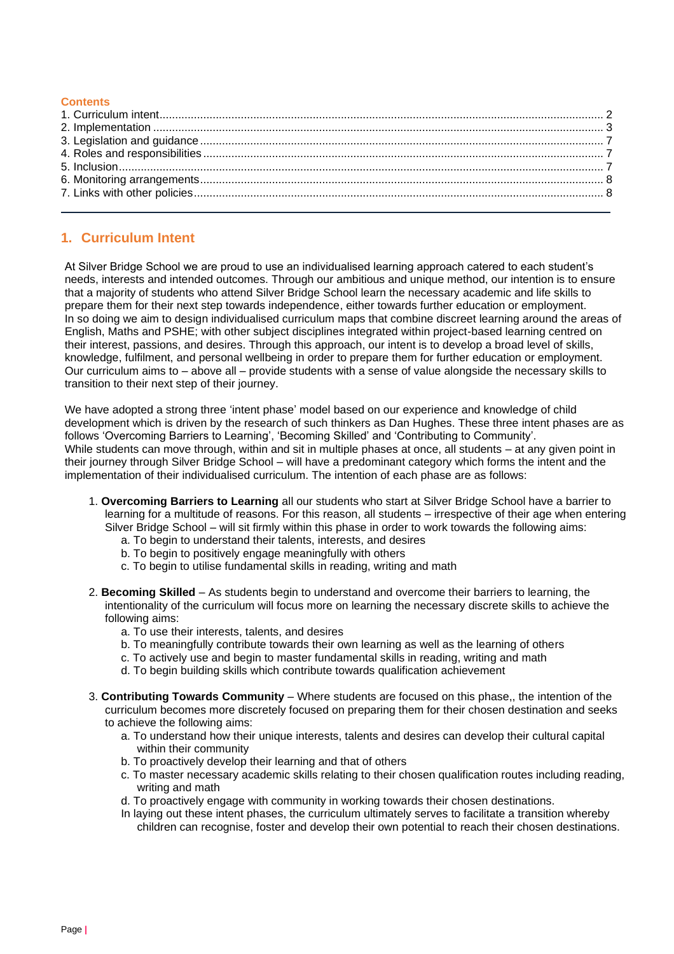#### **Contents**

# <span id="page-1-0"></span>**1. Curriculum Intent**

At Silver Bridge School we are proud to use an individualised learning approach catered to each student's needs, interests and intended outcomes. Through our ambitious and unique method, our intention is to ensure that a majority of students who attend Silver Bridge School learn the necessary academic and life skills to prepare them for their next step towards independence, either towards further education or employment. In so doing we aim to design individualised curriculum maps that combine discreet learning around the areas of English, Maths and PSHE; with other subject disciplines integrated within project-based learning centred on their interest, passions, and desires. Through this approach, our intent is to develop a broad level of skills, knowledge, fulfilment, and personal wellbeing in order to prepare them for further education or employment. Our curriculum aims to – above all – provide students with a sense of value alongside the necessary skills to transition to their next step of their journey.

We have adopted a strong three 'intent phase' model based on our experience and knowledge of child development which is driven by the research of such thinkers as Dan Hughes. These three intent phases are as follows 'Overcoming Barriers to Learning', 'Becoming Skilled' and 'Contributing to Community'. While students can move through, within and sit in multiple phases at once, all students – at any given point in their journey through Silver Bridge School – will have a predominant category which forms the intent and the implementation of their individualised curriculum. The intention of each phase are as follows:

- 1. **Overcoming Barriers to Learning** all our students who start at Silver Bridge School have a barrier to learning for a multitude of reasons. For this reason, all students – irrespective of their age when entering Silver Bridge School – will sit firmly within this phase in order to work towards the following aims:
	- a. To begin to understand their talents, interests, and desires
	- b. To begin to positively engage meaningfully with others
	- c. To begin to utilise fundamental skills in reading, writing and math
- 2. **Becoming Skilled** As students begin to understand and overcome their barriers to learning, the intentionality of the curriculum will focus more on learning the necessary discrete skills to achieve the following aims:
	- a. To use their interests, talents, and desires
	- b. To meaningfully contribute towards their own learning as well as the learning of others
	- c. To actively use and begin to master fundamental skills in reading, writing and math
	- d. To begin building skills which contribute towards qualification achievement
- 3. **Contributing Towards Community** Where students are focused on this phase,, the intention of the curriculum becomes more discretely focused on preparing them for their chosen destination and seeks to achieve the following aims:
	- a. To understand how their unique interests, talents and desires can develop their cultural capital within their community
	- b. To proactively develop their learning and that of others
	- c. To master necessary academic skills relating to their chosen qualification routes including reading, writing and math
	- d. To proactively engage with community in working towards their chosen destinations.
	- In laying out these intent phases, the curriculum ultimately serves to facilitate a transition whereby children can recognise, foster and develop their own potential to reach their chosen destinations.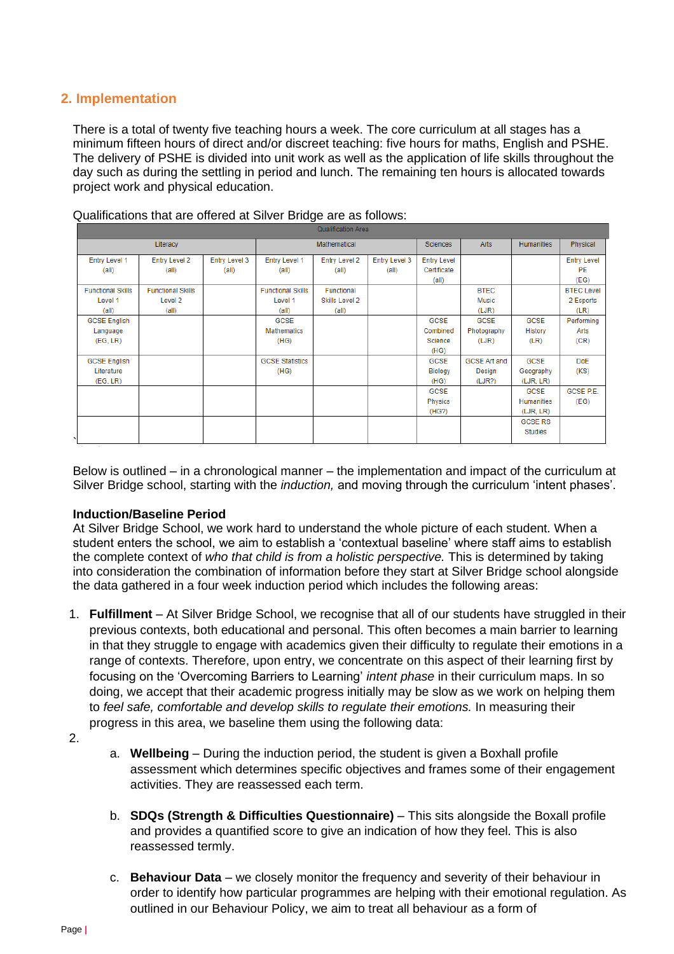# <span id="page-2-0"></span>**2. Implementation**

There is a total of twenty five teaching hours a week. The core curriculum at all stages has a minimum fifteen hours of direct and/or discreet teaching: five hours for maths, English and PSHE. The delivery of PSHE is divided into unit work as well as the application of life skills throughout the day such as during the settling in period and lunch. The remaining ten hours is allocated towards project work and physical education.

| Qualification Area       |                          |               |                          |                      |                 |                    |                     |                   |                    |
|--------------------------|--------------------------|---------------|--------------------------|----------------------|-----------------|--------------------|---------------------|-------------------|--------------------|
| Literacy                 |                          |               | Mathematical             |                      | <b>Sciences</b> | <b>Arts</b>        | <b>Humanities</b>   | Physical          |                    |
| <b>Entry Level 1</b>     | <b>Entry Level 2</b>     | Entry Level 3 | Entry Level 1            | <b>Entry Level 2</b> | Entry Level 3   | <b>Entry Level</b> |                     |                   | <b>Entry Level</b> |
| (a  )                    | (a  )                    | (all)         | (a  )                    | (a  )                | (a  )           | Certificate        |                     |                   | <b>PE</b>          |
|                          |                          |               |                          |                      |                 | $\text{(all)}$     |                     |                   | (EG)               |
| <b>Functional Skills</b> | <b>Functional Skills</b> |               | <b>Functional Skills</b> | Functional           |                 |                    | <b>BTEC</b>         |                   | <b>BTEC Level</b>  |
| Level 1                  | Level 2                  |               | Level 1                  | Skills Level 2       |                 |                    | Music               |                   | 2 Esports          |
| (a  )                    | (a  )                    |               | (a  )                    | (all)                |                 |                    | (LJR)               |                   | (LR)               |
| <b>GCSE English</b>      |                          |               | <b>GCSE</b>              |                      |                 | <b>GCSE</b>        | <b>GCSE</b>         | <b>GCSE</b>       | Performing         |
| Language                 |                          |               | <b>Mathematics</b>       |                      |                 | Combined           | Photography         | History           | Arts               |
| (EG, LR)                 |                          |               | (HG)                     |                      |                 | Science            | (LJR)               | (LR)              | (CR)               |
|                          |                          |               |                          |                      |                 | (HG)               |                     |                   |                    |
| <b>GCSE English</b>      |                          |               | <b>GCSE Statistics</b>   |                      |                 | GCSE               | <b>GCSE Art and</b> | <b>GCSE</b>       | <b>DoE</b>         |
| Literature               |                          |               | (HG)                     |                      |                 | Biology            | Design              | Geography         | (KS)               |
| (EG, LR)                 |                          |               |                          |                      |                 | (HG)               | (LJR?)              | (LJR, LR)         |                    |
|                          |                          |               |                          |                      |                 | <b>GCSE</b>        |                     | <b>GCSE</b>       | GCSE P.E.          |
|                          |                          |               |                          |                      |                 | <b>Physics</b>     |                     | <b>Humanities</b> | (EG)               |
|                          |                          |               |                          |                      |                 | (HG?)              |                     | (LJR, LR)         |                    |
|                          |                          |               |                          |                      |                 |                    |                     | <b>GCSE RS</b>    |                    |
|                          |                          |               |                          |                      |                 |                    |                     | <b>Studies</b>    |                    |
|                          |                          |               |                          |                      |                 |                    |                     |                   |                    |

Qualifications that are offered at Silver Bridge are as follows:

Below is outlined – in a chronological manner – the implementation and impact of the curriculum at Silver Bridge school, starting with the *induction,* and moving through the curriculum 'intent phases'.

# **Induction/Baseline Period**

At Silver Bridge School, we work hard to understand the whole picture of each student. When a student enters the school, we aim to establish a 'contextual baseline' where staff aims to establish the complete context of *who that child is from a holistic perspective.* This is determined by taking into consideration the combination of information before they start at Silver Bridge school alongside the data gathered in a four week induction period which includes the following areas:

- 1. **Fulfillment** At Silver Bridge School, we recognise that all of our students have struggled in their previous contexts, both educational and personal. This often becomes a main barrier to learning in that they struggle to engage with academics given their difficulty to regulate their emotions in a range of contexts. Therefore, upon entry, we concentrate on this aspect of their learning first by focusing on the 'Overcoming Barriers to Learning' *intent phase* in their curriculum maps. In so doing, we accept that their academic progress initially may be slow as we work on helping them to *feel safe, comfortable and develop skills to regulate their emotions.* In measuring their progress in this area, we baseline them using the following data:
- 2.
- a. **Wellbeing**  During the induction period, the student is given a Boxhall profile assessment which determines specific objectives and frames some of their engagement activities. They are reassessed each term.
- b. **SDQs (Strength & Difficulties Questionnaire)**  This sits alongside the Boxall profile and provides a quantified score to give an indication of how they feel. This is also reassessed termly.
- c. **Behaviour Data**  we closely monitor the frequency and severity of their behaviour in order to identify how particular programmes are helping with their emotional regulation. As outlined in our Behaviour Policy, we aim to treat all behaviour as a form of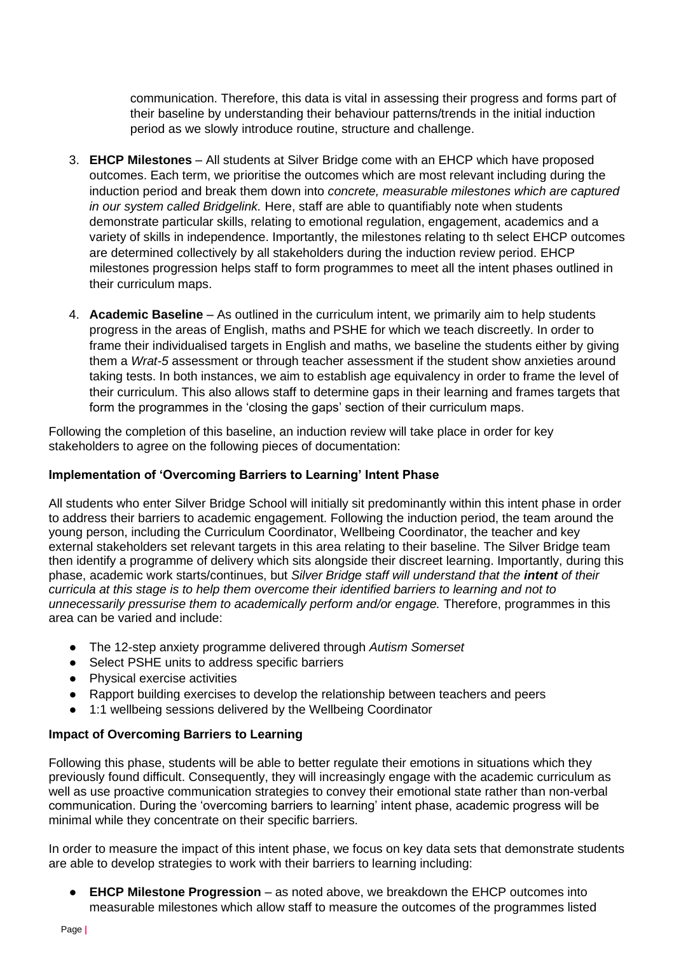communication. Therefore, this data is vital in assessing their progress and forms part of their baseline by understanding their behaviour patterns/trends in the initial induction period as we slowly introduce routine, structure and challenge.

- 3. **EHCP Milestones** All students at Silver Bridge come with an EHCP which have proposed outcomes. Each term, we prioritise the outcomes which are most relevant including during the induction period and break them down into *concrete, measurable milestones which are captured in our system called Bridgelink.* Here, staff are able to quantifiably note when students demonstrate particular skills, relating to emotional regulation, engagement, academics and a variety of skills in independence. Importantly, the milestones relating to th select EHCP outcomes are determined collectively by all stakeholders during the induction review period. EHCP milestones progression helps staff to form programmes to meet all the intent phases outlined in their curriculum maps.
- 4. **Academic Baseline**  As outlined in the curriculum intent, we primarily aim to help students progress in the areas of English, maths and PSHE for which we teach discreetly. In order to frame their individualised targets in English and maths, we baseline the students either by giving them a *Wrat-5* assessment or through teacher assessment if the student show anxieties around taking tests. In both instances, we aim to establish age equivalency in order to frame the level of their curriculum. This also allows staff to determine gaps in their learning and frames targets that form the programmes in the 'closing the gaps' section of their curriculum maps.

Following the completion of this baseline, an induction review will take place in order for key stakeholders to agree on the following pieces of documentation:

# **Implementation of 'Overcoming Barriers to Learning' Intent Phase**

All students who enter Silver Bridge School will initially sit predominantly within this intent phase in order to address their barriers to academic engagement. Following the induction period, the team around the young person, including the Curriculum Coordinator, Wellbeing Coordinator, the teacher and key external stakeholders set relevant targets in this area relating to their baseline. The Silver Bridge team then identify a programme of delivery which sits alongside their discreet learning. Importantly, during this phase, academic work starts/continues, but *Silver Bridge staff will understand that the intent of their curricula at this stage is to help them overcome their identified barriers to learning and not to unnecessarily pressurise them to academically perform and/or engage.* Therefore, programmes in this area can be varied and include:

- The 12-step anxiety programme delivered through *Autism Somerset*
- Select PSHE units to address specific barriers
- Physical exercise activities
- Rapport building exercises to develop the relationship between teachers and peers
- 1:1 wellbeing sessions delivered by the Wellbeing Coordinator

# **Impact of Overcoming Barriers to Learning**

Following this phase, students will be able to better regulate their emotions in situations which they previously found difficult. Consequently, they will increasingly engage with the academic curriculum as well as use proactive communication strategies to convey their emotional state rather than non-verbal communication. During the 'overcoming barriers to learning' intent phase, academic progress will be minimal while they concentrate on their specific barriers.

In order to measure the impact of this intent phase, we focus on key data sets that demonstrate students are able to develop strategies to work with their barriers to learning including:

● **EHCP Milestone Progression** – as noted above, we breakdown the EHCP outcomes into measurable milestones which allow staff to measure the outcomes of the programmes listed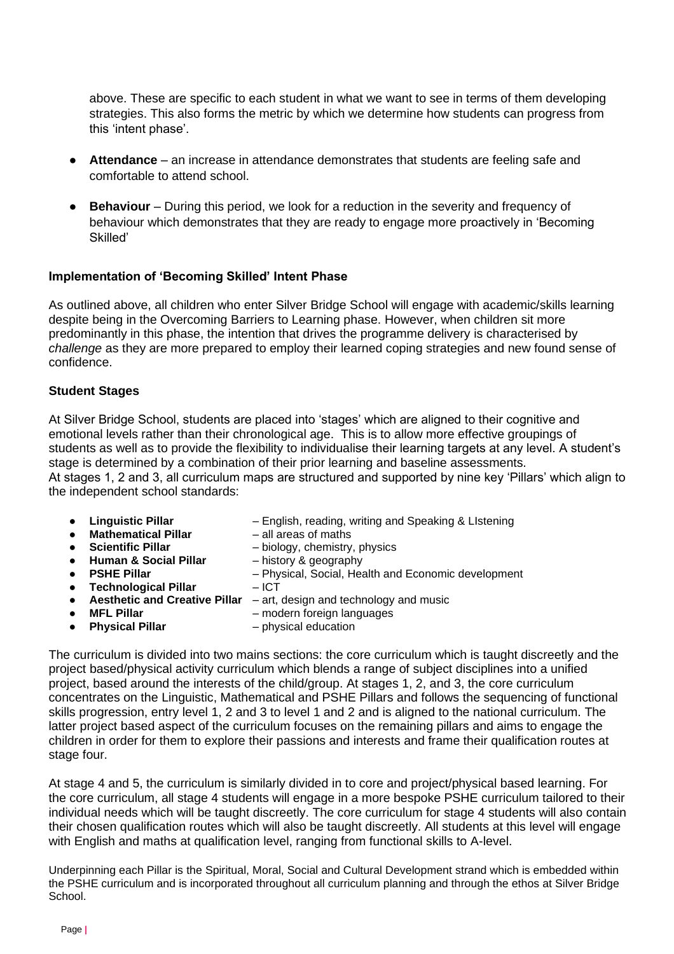above. These are specific to each student in what we want to see in terms of them developing strategies. This also forms the metric by which we determine how students can progress from this 'intent phase'.

- **Attendance**  an increase in attendance demonstrates that students are feeling safe and comfortable to attend school.
- **Behaviour** During this period, we look for a reduction in the severity and frequency of behaviour which demonstrates that they are ready to engage more proactively in 'Becoming Skilled'

## **Implementation of 'Becoming Skilled' Intent Phase**

As outlined above, all children who enter Silver Bridge School will engage with academic/skills learning despite being in the Overcoming Barriers to Learning phase. However, when children sit more predominantly in this phase, the intention that drives the programme delivery is characterised by *challenge* as they are more prepared to employ their learned coping strategies and new found sense of confidence.

## **Student Stages**

At Silver Bridge School, students are placed into 'stages' which are aligned to their cognitive and emotional levels rather than their chronological age. This is to allow more effective groupings of students as well as to provide the flexibility to individualise their learning targets at any level. A student's stage is determined by a combination of their prior learning and baseline assessments. At stages 1, 2 and 3, all curriculum maps are structured and supported by nine key 'Pillars' which align to the independent school standards:

- 
- **Linguistic Pillar** Finglish, reading, writing and Speaking & LIstening **Mathematical Pillar** all areas of maths

 $-$  Physical, Social, Health and Economic development

- **Mathematical Pillar<br>Scientific Pillar**
- **Scientific Pillar** biology, chemistry, physics
- **Human & Social Pillar** history & geography
- 
- **Technological Pillar** ICT
- **Aesthetic and Creative Pillar** art, design and technology and music
- 
- 
- **MFL Pillar** modern foreign languages<br>● Physical Pillar hysical education ● **Physical Pillar** – physical education

The curriculum is divided into two mains sections: the core curriculum which is taught discreetly and the project based/physical activity curriculum which blends a range of subject disciplines into a unified project, based around the interests of the child/group. At stages 1, 2, and 3, the core curriculum concentrates on the Linguistic, Mathematical and PSHE Pillars and follows the sequencing of functional skills progression, entry level 1, 2 and 3 to level 1 and 2 and is aligned to the national curriculum. The latter project based aspect of the curriculum focuses on the remaining pillars and aims to engage the children in order for them to explore their passions and interests and frame their qualification routes at stage four.

At stage 4 and 5, the curriculum is similarly divided in to core and project/physical based learning. For the core curriculum, all stage 4 students will engage in a more bespoke PSHE curriculum tailored to their individual needs which will be taught discreetly. The core curriculum for stage 4 students will also contain their chosen qualification routes which will also be taught discreetly. All students at this level will engage with English and maths at qualification level, ranging from functional skills to A-level.

Underpinning each Pillar is the Spiritual, Moral, Social and Cultural Development strand which is embedded within the PSHE curriculum and is incorporated throughout all curriculum planning and through the ethos at Silver Bridge School.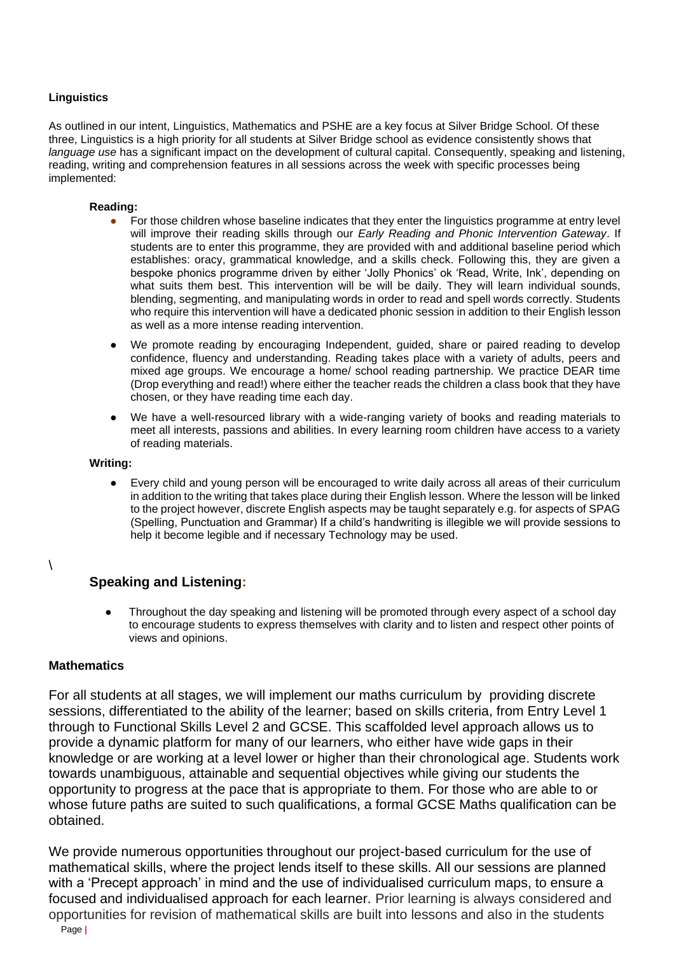#### **Linguistics**

As outlined in our intent, Linguistics, Mathematics and PSHE are a key focus at Silver Bridge School. Of these three, Linguistics is a high priority for all students at Silver Bridge school as evidence consistently shows that *language use* has a significant impact on the development of cultural capital. Consequently, speaking and listening, reading, writing and comprehension features in all sessions across the week with specific processes being implemented:

#### **Reading:**

- For those children whose baseline indicates that they enter the linguistics programme at entry level will improve their reading skills through our *Early Reading and Phonic Intervention Gateway*. If students are to enter this programme, they are provided with and additional baseline period which establishes: oracy, grammatical knowledge, and a skills check. Following this, they are given a bespoke phonics programme driven by either 'Jolly Phonics' ok 'Read, Write, Ink', depending on what suits them best. This intervention will be will be daily. They will learn individual sounds, blending, segmenting, and manipulating words in order to read and spell words correctly. Students who require this intervention will have a dedicated phonic session in addition to their English lesson as well as a more intense reading intervention.
- We promote reading by encouraging Independent, guided, share or paired reading to develop confidence, fluency and understanding. Reading takes place with a variety of adults, peers and mixed age groups. We encourage a home/ school reading partnership. We practice DEAR time (Drop everything and read!) where either the teacher reads the children a class book that they have chosen, or they have reading time each day.
- We have a well-resourced library with a wide-ranging variety of books and reading materials to meet all interests, passions and abilities. In every learning room children have access to a variety of reading materials.

#### **Writing:**

● Every child and young person will be encouraged to write daily across all areas of their curriculum in addition to the writing that takes place during their English lesson. Where the lesson will be linked to the project however, discrete English aspects may be taught separately e.g. for aspects of SPAG (Spelling, Punctuation and Grammar) If a child's handwriting is illegible we will provide sessions to help it become legible and if necessary Technology may be used.

#### $\lambda$

# **Speaking and Listening:**

Throughout the day speaking and listening will be promoted through every aspect of a school day to encourage students to express themselves with clarity and to listen and respect other points of views and opinions.

# **Mathematics**

For all students at all stages, we will implement our maths curriculum by providing discrete sessions, differentiated to the ability of the learner; based on skills criteria, from Entry Level 1 through to Functional Skills Level 2 and GCSE. This scaffolded level approach allows us to provide a dynamic platform for many of our learners, who either have wide gaps in their knowledge or are working at a level lower or higher than their chronological age. Students work towards unambiguous, attainable and sequential objectives while giving our students the opportunity to progress at the pace that is appropriate to them. For those who are able to or whose future paths are suited to such qualifications, a formal GCSE Maths qualification can be obtained.

We provide numerous opportunities throughout our project-based curriculum for the use of mathematical skills, where the project lends itself to these skills. All our sessions are planned with a 'Precept approach' in mind and the use of individualised curriculum maps, to ensure a focused and individualised approach for each learner. Prior learning is always considered and opportunities for revision of mathematical skills are built into lessons and also in the students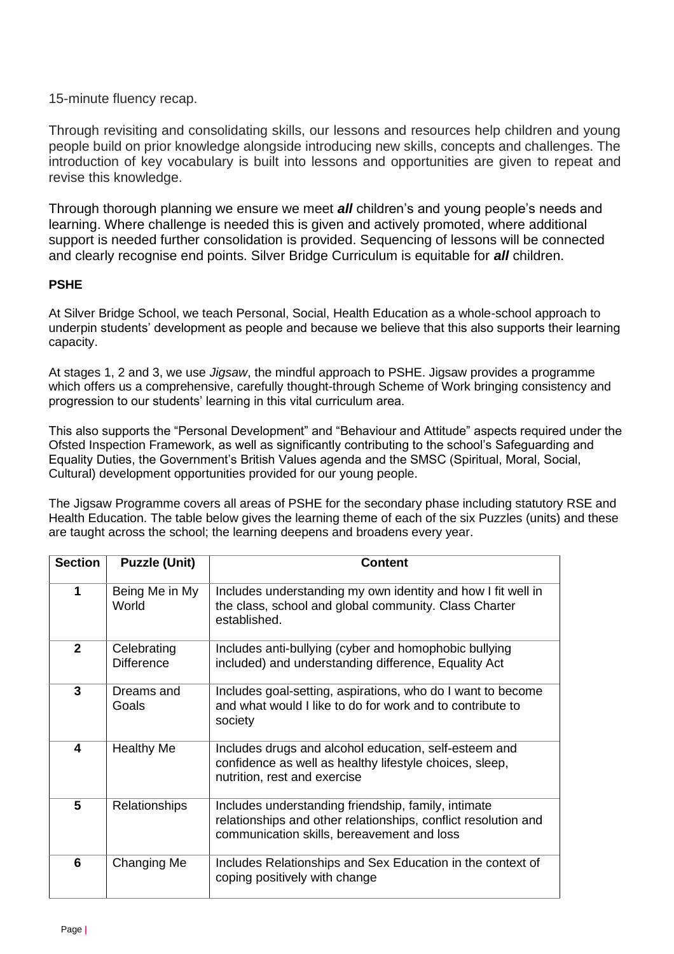15-minute fluency recap.

Through revisiting and consolidating skills, our lessons and resources help children and young people build on prior knowledge alongside introducing new skills, concepts and challenges. The introduction of key vocabulary is built into lessons and opportunities are given to repeat and revise this knowledge.

Through thorough planning we ensure we meet *all* children's and young people's needs and learning. Where challenge is needed this is given and actively promoted, where additional support is needed further consolidation is provided. Sequencing of lessons will be connected and clearly recognise end points. Silver Bridge Curriculum is equitable for *all* children.

# **PSHE**

At Silver Bridge School, we teach Personal, Social, Health Education as a whole-school approach to underpin students' development as people and because we believe that this also supports their learning capacity.

At stages 1, 2 and 3, we use *Jigsaw*, the mindful approach to PSHE. Jigsaw provides a programme which offers us a comprehensive, carefully thought-through Scheme of Work bringing consistency and progression to our students' learning in this vital curriculum area.

This also supports the "Personal Development" and "Behaviour and Attitude" aspects required under the Ofsted Inspection Framework, as well as significantly contributing to the school's Safeguarding and Equality Duties, the Government's British Values agenda and the SMSC (Spiritual, Moral, Social, Cultural) development opportunities provided for our young people.

The Jigsaw Programme covers all areas of PSHE for the secondary phase including statutory RSE and Health Education. The table below gives the learning theme of each of the six Puzzles (units) and these are taught across the school; the learning deepens and broadens every year.

| <b>Section</b> | <b>Puzzle (Unit)</b>             | <b>Content</b>                                                                                                                                                      |
|----------------|----------------------------------|---------------------------------------------------------------------------------------------------------------------------------------------------------------------|
| 1              | Being Me in My<br>World          | Includes understanding my own identity and how I fit well in<br>the class, school and global community. Class Charter<br>established.                               |
| $\overline{2}$ | Celebrating<br><b>Difference</b> | Includes anti-bullying (cyber and homophobic bullying<br>included) and understanding difference, Equality Act                                                       |
| 3              | Dreams and<br>Goals              | Includes goal-setting, aspirations, who do I want to become<br>and what would I like to do for work and to contribute to<br>society                                 |
| 4              | <b>Healthy Me</b>                | Includes drugs and alcohol education, self-esteem and<br>confidence as well as healthy lifestyle choices, sleep,<br>nutrition, rest and exercise                    |
| $5\phantom{1}$ | <b>Relationships</b>             | Includes understanding friendship, family, intimate<br>relationships and other relationships, conflict resolution and<br>communication skills, bereavement and loss |
| 6              | Changing Me                      | Includes Relationships and Sex Education in the context of<br>coping positively with change                                                                         |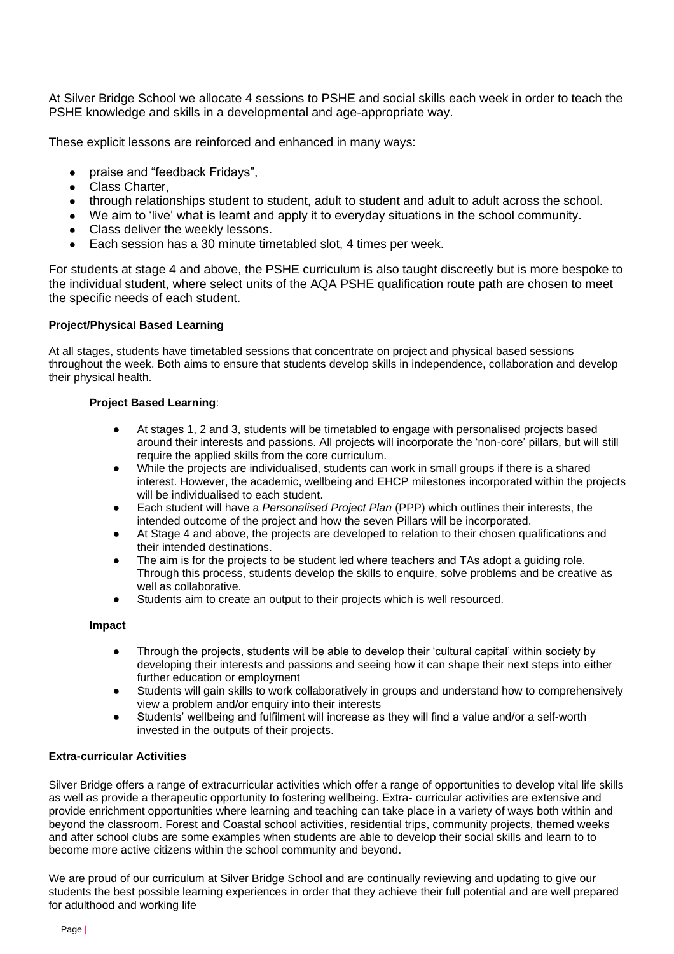At Silver Bridge School we allocate 4 sessions to PSHE and social skills each week in order to teach the PSHE knowledge and skills in a developmental and age-appropriate way.

These explicit lessons are reinforced and enhanced in many ways:

- praise and "feedback Fridays",
- Class Charter,
- through relationships student to student, adult to student and adult to adult across the school.
- We aim to 'live' what is learnt and apply it to everyday situations in the school community.
- Class deliver the weekly lessons.
- Each session has a 30 minute timetabled slot, 4 times per week.

For students at stage 4 and above, the PSHE curriculum is also taught discreetly but is more bespoke to the individual student, where select units of the AQA PSHE qualification route path are chosen to meet the specific needs of each student.

#### **Project/Physical Based Learning**

At all stages, students have timetabled sessions that concentrate on project and physical based sessions throughout the week. Both aims to ensure that students develop skills in independence, collaboration and develop their physical health.

#### **Project Based Learning**:

- At stages 1, 2 and 3, students will be timetabled to engage with personalised projects based around their interests and passions. All projects will incorporate the 'non-core' pillars, but will still require the applied skills from the core curriculum.
- While the projects are individualised, students can work in small groups if there is a shared interest. However, the academic, wellbeing and EHCP milestones incorporated within the projects will be individualised to each student.
- Each student will have a *Personalised Project Plan* (PPP) which outlines their interests, the intended outcome of the project and how the seven Pillars will be incorporated.
- At Stage 4 and above, the projects are developed to relation to their chosen qualifications and their intended destinations.
- The aim is for the projects to be student led where teachers and TAs adopt a guiding role. Through this process, students develop the skills to enquire, solve problems and be creative as well as collaborative.
- Students aim to create an output to their projects which is well resourced.

#### **Impact**

- Through the projects, students will be able to develop their 'cultural capital' within society by developing their interests and passions and seeing how it can shape their next steps into either further education or employment
- Students will gain skills to work collaboratively in groups and understand how to comprehensively view a problem and/or enquiry into their interests
- Students' wellbeing and fulfilment will increase as they will find a value and/or a self-worth invested in the outputs of their projects.

#### **Extra-curricular Activities**

Silver Bridge offers a range of extracurricular activities which offer a range of opportunities to develop vital life skills as well as provide a therapeutic opportunity to fostering wellbeing. Extra- curricular activities are extensive and provide enrichment opportunities where learning and teaching can take place in a variety of ways both within and beyond the classroom. Forest and Coastal school activities, residential trips, community projects, themed weeks and after school clubs are some examples when students are able to develop their social skills and learn to to become more active citizens within the school community and beyond.

We are proud of our curriculum at Silver Bridge School and are continually reviewing and updating to give our students the best possible learning experiences in order that they achieve their full potential and are well prepared for adulthood and working life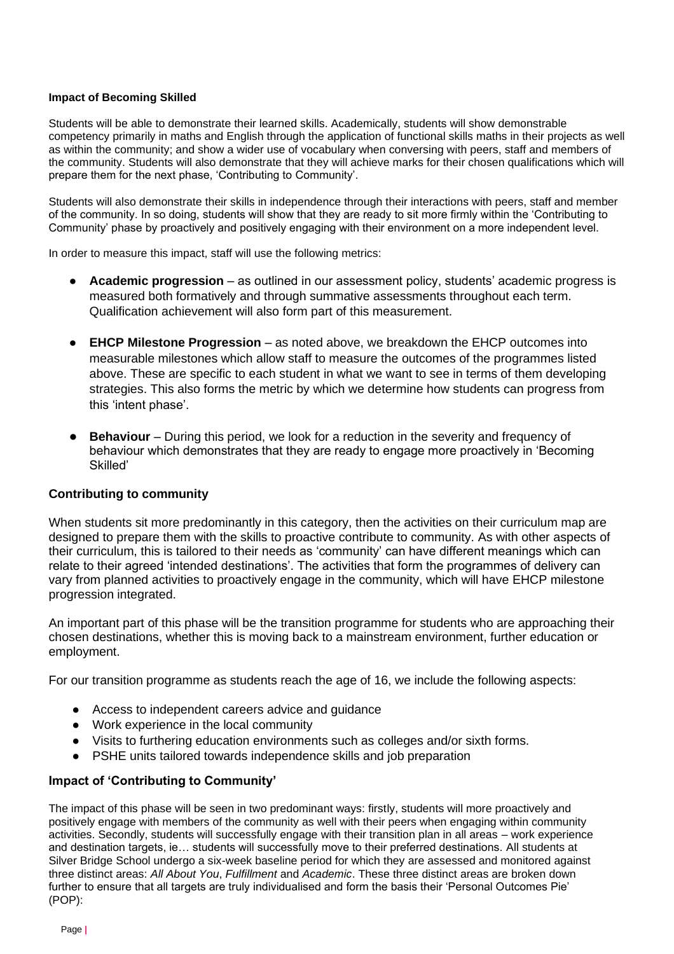#### **Impact of Becoming Skilled**

Students will be able to demonstrate their learned skills. Academically, students will show demonstrable competency primarily in maths and English through the application of functional skills maths in their projects as well as within the community; and show a wider use of vocabulary when conversing with peers, staff and members of the community. Students will also demonstrate that they will achieve marks for their chosen qualifications which will prepare them for the next phase, 'Contributing to Community'.

Students will also demonstrate their skills in independence through their interactions with peers, staff and member of the community. In so doing, students will show that they are ready to sit more firmly within the 'Contributing to Community' phase by proactively and positively engaging with their environment on a more independent level.

In order to measure this impact, staff will use the following metrics:

- **Academic progression** as outlined in our assessment policy, students' academic progress is measured both formatively and through summative assessments throughout each term. Qualification achievement will also form part of this measurement.
- **EHCP Milestone Progression** as noted above, we breakdown the EHCP outcomes into measurable milestones which allow staff to measure the outcomes of the programmes listed above. These are specific to each student in what we want to see in terms of them developing strategies. This also forms the metric by which we determine how students can progress from this 'intent phase'.
- **Behaviour** During this period, we look for a reduction in the severity and frequency of behaviour which demonstrates that they are ready to engage more proactively in 'Becoming Skilled'

#### **Contributing to community**

When students sit more predominantly in this category, then the activities on their curriculum map are designed to prepare them with the skills to proactive contribute to community. As with other aspects of their curriculum, this is tailored to their needs as 'community' can have different meanings which can relate to their agreed 'intended destinations'. The activities that form the programmes of delivery can vary from planned activities to proactively engage in the community, which will have EHCP milestone progression integrated.

An important part of this phase will be the transition programme for students who are approaching their chosen destinations, whether this is moving back to a mainstream environment, further education or employment.

For our transition programme as students reach the age of 16, we include the following aspects:

- Access to independent careers advice and guidance
- Work experience in the local community
- Visits to furthering education environments such as colleges and/or sixth forms.
- PSHE units tailored towards independence skills and job preparation

# **Impact of 'Contributing to Community'**

The impact of this phase will be seen in two predominant ways: firstly, students will more proactively and positively engage with members of the community as well with their peers when engaging within community activities. Secondly, students will successfully engage with their transition plan in all areas – work experience and destination targets, ie… students will successfully move to their preferred destinations. All students at Silver Bridge School undergo a six-week baseline period for which they are assessed and monitored against three distinct areas: *All About You*, *Fulfillment* and *Academic*. These three distinct areas are broken down further to ensure that all targets are truly individualised and form the basis their 'Personal Outcomes Pie' (POP):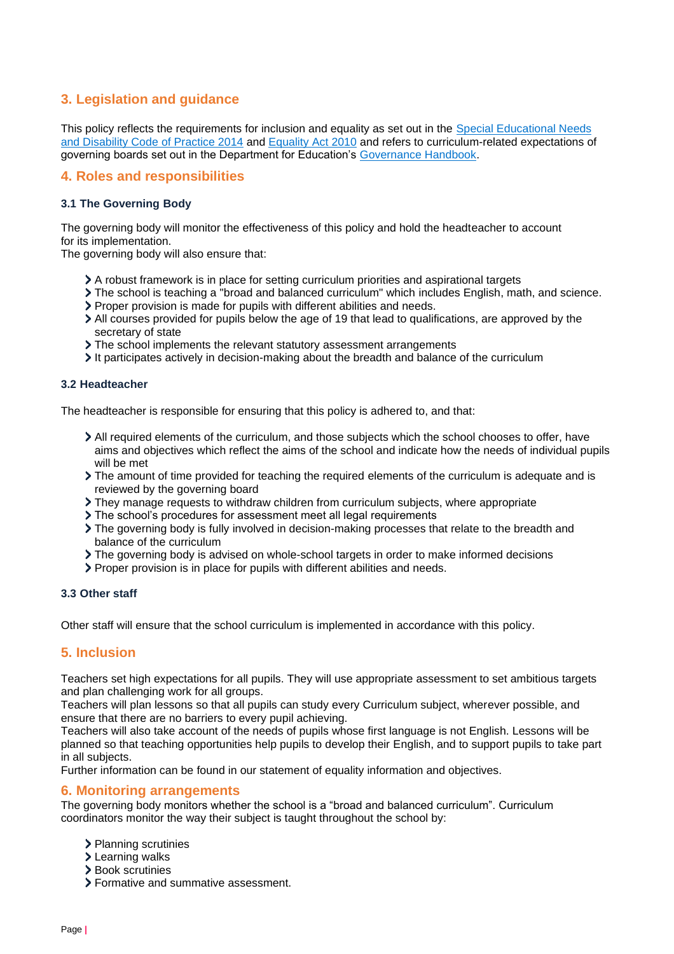# <span id="page-9-0"></span>**3. Legislation and guidance**

This policy reflects the requirements for inclusion and equality as set out in the Special Educational Needs and Disability Code of Practice 2014 and Equality Act 2010 and refers to curriculum-related expectations of governing boards set out in the Department for Education's Governance Handbook.

# <span id="page-9-1"></span>**4. Roles and responsibilities**

# **3.1 The Governing Body**

The governing body will monitor the effectiveness of this policy and hold the headteacher to account for its implementation.

The governing body will also ensure that:

- A robust framework is in place for setting curriculum priorities and aspirational targets
- The school is teaching a "broad and balanced curriculum" which includes English, math, and science.
- Proper provision is made for pupils with different abilities and needs.
- All courses provided for pupils below the age of 19 that lead to qualifications, are approved by the secretary of state
- > The school implements the relevant statutory assessment arrangements
- It participates actively in decision-making about the breadth and balance of the curriculum

#### **3.2 Headteacher**

The headteacher is responsible for ensuring that this policy is adhered to, and that:

- All required elements of the curriculum, and those subjects which the school chooses to offer, have aims and objectives which reflect the aims of the school and indicate how the needs of individual pupils will be met
- The amount of time provided for teaching the required elements of the curriculum is adequate and is reviewed by the governing board
- They manage requests to withdraw children from curriculum subjects, where appropriate
- The school's procedures for assessment meet all legal requirements
- The governing body is fully involved in decision-making processes that relate to the breadth and balance of the curriculum
- The governing body is advised on whole-school targets in order to make informed decisions
- Proper provision is in place for pupils with different abilities and needs.

#### **3.3 Other staff**

Other staff will ensure that the school curriculum is implemented in accordance with this policy.

# **5. Inclusion**

Teachers set high expectations for all pupils. They will use appropriate assessment to set ambitious targets and plan challenging work for all groups.

Teachers will plan lessons so that all pupils can study every Curriculum subject, wherever possible, and ensure that there are no barriers to every pupil achieving.

Teachers will also take account of the needs of pupils whose first language is not English. Lessons will be planned so that teaching opportunities help pupils to develop their English, and to support pupils to take part in all subjects.

Further information can be found in our statement of equality information and objectives.

#### **6. Monitoring arrangements**

The governing body monitors whether the school is a "broad and balanced curriculum". Curriculum coordinators monitor the way their subject is taught throughout the school by:

- > Planning scrutinies
- > Learning walks
- > Book scrutinies
- Formative and summative assessment.